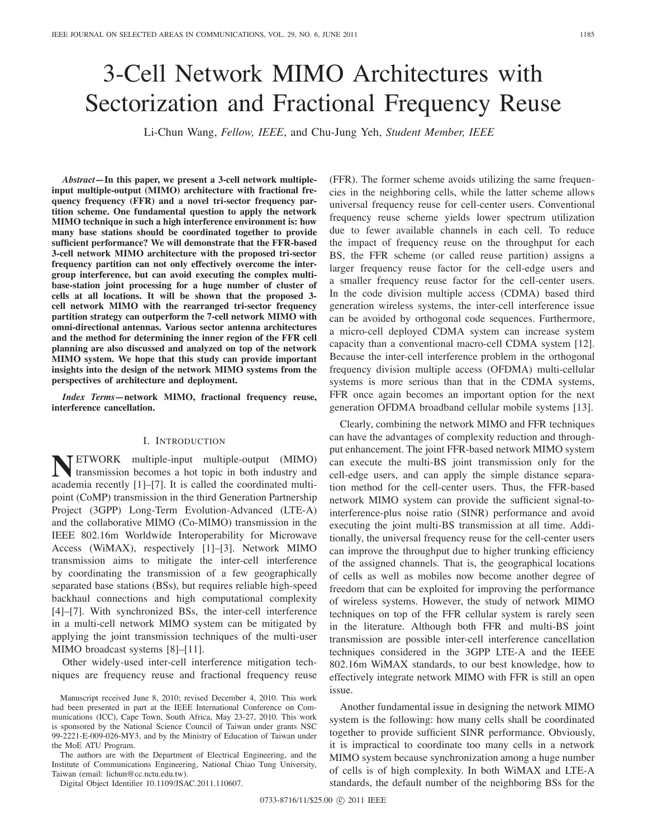# 3-Cell Network MIMO Architectures with Sectorization and Fractional Frequency Reuse

Li-Chun Wang, *Fellow, IEEE*, and Chu-Jung Yeh, *Student Member, IEEE*

*Abstract***—In this paper, we present a 3-cell network multipleinput multiple-output (MIMO) architecture with fractional frequency frequency (FFR) and a novel tri-sector frequency partition scheme. One fundamental question to apply the network MIMO technique in such a high interference environment is: how many base stations should be coordinated together to provide sufficient performance? We will demonstrate that the FFR-based 3-cell network MIMO architecture with the proposed tri-sector frequency partition can not only effectively overcome the intergroup interference, but can avoid executing the complex multibase-station joint processing for a huge number of cluster of cells at all locations. It will be shown that the proposed 3 cell network MIMO with the rearranged tri-sector frequency partition strategy can outperform the 7-cell network MIMO with omni-directional antennas. Various sector antenna architectures and the method for determining the inner region of the FFR cell planning are also discussed and analyzed on top of the network MIMO system. We hope that this study can provide important insights into the design of the network MIMO systems from the perspectives of architecture and deployment.**

*Index Terms***—network MIMO, fractional frequency reuse, interference cancellation.**

## I. INTRODUCTION

**NETWORK** multiple-input multiple-output (MIMO)<br>transmission becomes a hot topic in both industry and<br>esercimized multiacademia recently [1]–[7]. It is called the coordinated multipoint (CoMP) transmission in the third Generation Partnership Project (3GPP) Long-Term Evolution-Advanced (LTE-A) and the collaborative MIMO (Co-MIMO) transmission in the IEEE 802.16m Worldwide Interoperability for Microwave Access (WiMAX), respectively [1]–[3]. Network MIMO transmission aims to mitigate the inter-cell interference by coordinating the transmission of a few geographically separated base stations (BSs), but requires reliable high-speed backhaul connections and high computational complexity [4]–[7]. With synchronized BSs, the inter-cell interference in a multi-cell network MIMO system can be mitigated by applying the joint transmission techniques of the multi-user MIMO broadcast systems [8]–[11].

Other widely-used inter-cell interference mitigation techniques are frequency reuse and fractional frequency reuse

The authors are with the Department of Electrical Engineering, and the Institute of Communications Engineering, National Chiao Tung University, Taiwan (email: lichun@cc.nctu.edu.tw).

Digital Object Identifier 10.1109/JSAC.2011.110607.

(FFR). The former scheme avoids utilizing the same frequencies in the neighboring cells, while the latter scheme allows universal frequency reuse for cell-center users. Conventional frequency reuse scheme yields lower spectrum utilization due to fewer available channels in each cell. To reduce the impact of frequency reuse on the throughput for each BS, the FFR scheme (or called reuse partition) assigns a larger frequency reuse factor for the cell-edge users and a smaller frequency reuse factor for the cell-center users. In the code division multiple access (CDMA) based third generation wireless systems, the inter-cell interference issue can be avoided by orthogonal code sequences. Furthermore, a micro-cell deployed CDMA system can increase system capacity than a conventional macro-cell CDMA system [12]. Because the inter-cell interference problem in the orthogonal frequency division multiple access (OFDMA) multi-cellular systems is more serious than that in the CDMA systems, FFR once again becomes an important option for the next generation OFDMA broadband cellular mobile systems [13].

Clearly, combining the network MIMO and FFR techniques can have the advantages of complexity reduction and throughput enhancement. The joint FFR-based network MIMO system can execute the multi-BS joint transmission only for the cell-edge users, and can apply the simple distance separation method for the cell-center users. Thus, the FFR-based network MIMO system can provide the sufficient signal-tointerference-plus noise ratio (SINR) performance and avoid executing the joint multi-BS transmission at all time. Additionally, the universal frequency reuse for the cell-center users can improve the throughput due to higher trunking efficiency of the assigned channels. That is, the geographical locations of cells as well as mobiles now become another degree of freedom that can be exploited for improving the performance of wireless systems. However, the study of network MIMO techniques on top of the FFR cellular system is rarely seen in the literature. Although both FFR and multi-BS joint transmission are possible inter-cell interference cancellation techniques considered in the 3GPP LTE-A and the IEEE 802.16m WiMAX standards, to our best knowledge, how to effectively integrate network MIMO with FFR is still an open issue.

Another fundamental issue in designing the network MIMO system is the following: how many cells shall be coordinated together to provide sufficient SINR performance. Obviously, it is impractical to coordinate too many cells in a network MIMO system because synchronization among a huge number of cells is of high complexity. In both WiMAX and LTE-A standards, the default number of the neighboring BSs for the

Manuscript received June 8, 2010; revised December 4, 2010. This work had been presented in part at the IEEE International Conference on Communications (ICC), Cape Town, South Africa, May 23-27, 2010. This work is sponsored by the National Science Council of Taiwan under grants NSC 99-2221-E-009-026-MY3, and by the Ministry of Education of Taiwan under the MoE ATU Program.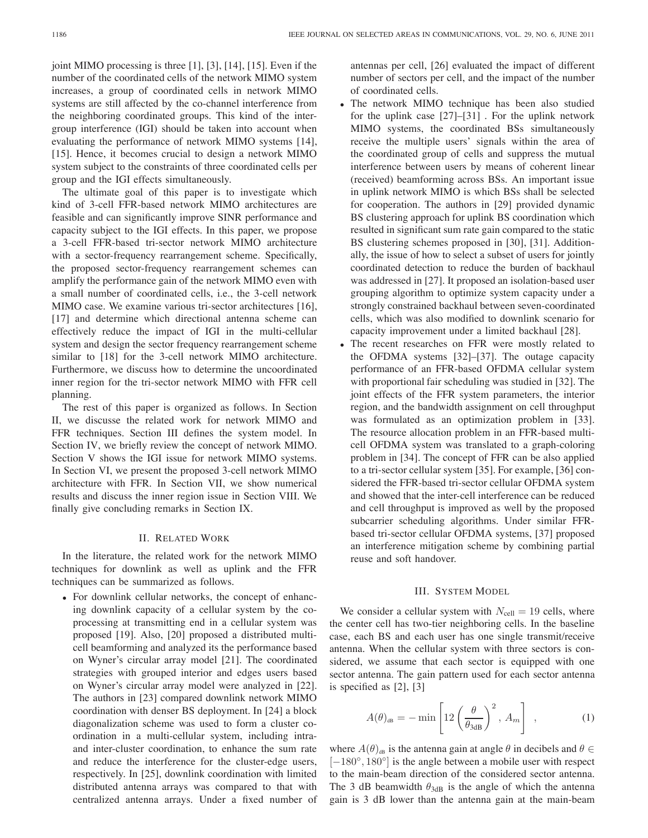joint MIMO processing is three [1], [3], [14], [15]. Even if the number of the coordinated cells of the network MIMO system increases, a group of coordinated cells in network MIMO systems are still affected by the co-channel interference from the neighboring coordinated groups. This kind of the intergroup interference (IGI) should be taken into account when evaluating the performance of network MIMO systems [14], [15]. Hence, it becomes crucial to design a network MIMO system subject to the constraints of three coordinated cells per group and the IGI effects simultaneously.

The ultimate goal of this paper is to investigate which kind of 3-cell FFR-based network MIMO architectures are feasible and can significantly improve SINR performance and capacity subject to the IGI effects. In this paper, we propose a 3-cell FFR-based tri-sector network MIMO architecture with a sector-frequency rearrangement scheme. Specifically, the proposed sector-frequency rearrangement schemes can amplify the performance gain of the network MIMO even with a small number of coordinated cells, i.e., the 3-cell network MIMO case. We examine various tri-sector architectures [16], [17] and determine which directional antenna scheme can effectively reduce the impact of IGI in the multi-cellular system and design the sector frequency rearrangement scheme similar to [18] for the 3-cell network MIMO architecture. Furthermore, we discuss how to determine the uncoordinated inner region for the tri-sector network MIMO with FFR cell planning.

The rest of this paper is organized as follows. In Section II, we discusse the related work for network MIMO and FFR techniques. Section III defines the system model. In Section IV, we briefly review the concept of network MIMO. Section V shows the IGI issue for network MIMO systems. In Section VI, we present the proposed 3-cell network MIMO architecture with FFR. In Section VII, we show numerical results and discuss the inner region issue in Section VIII. We finally give concluding remarks in Section IX.

# II. RELATED WORK

In the literature, the related work for the network MIMO techniques for downlink as well as uplink and the FFR techniques can be summarized as follows.

• For downlink cellular networks, the concept of enhancing downlink capacity of a cellular system by the coprocessing at transmitting end in a cellular system was proposed [19]. Also, [20] proposed a distributed multicell beamforming and analyzed its the performance based on Wyner's circular array model [21]. The coordinated strategies with grouped interior and edges users based on Wyner's circular array model were analyzed in [22]. The authors in [23] compared downlink network MIMO coordination with denser BS deployment. In [24] a block diagonalization scheme was used to form a cluster coordination in a multi-cellular system, including intraand inter-cluster coordination, to enhance the sum rate and reduce the interference for the cluster-edge users, respectively. In [25], downlink coordination with limited distributed antenna arrays was compared to that with centralized antenna arrays. Under a fixed number of antennas per cell, [26] evaluated the impact of different number of sectors per cell, and the impact of the number of coordinated cells.

- The network MIMO technique has been also studied for the uplink case [27]–[31] . For the uplink network MIMO systems, the coordinated BSs simultaneously receive the multiple users' signals within the area of the coordinated group of cells and suppress the mutual interference between users by means of coherent linear (received) beamforming across BSs. An important issue in uplink network MIMO is which BSs shall be selected for cooperation. The authors in [29] provided dynamic BS clustering approach for uplink BS coordination which resulted in significant sum rate gain compared to the static BS clustering schemes proposed in [30], [31]. Additionally, the issue of how to select a subset of users for jointly coordinated detection to reduce the burden of backhaul was addressed in [27]. It proposed an isolation-based user grouping algorithm to optimize system capacity under a strongly constrained backhaul between seven-coordinated cells, which was also modified to downlink scenario for capacity improvement under a limited backhaul [28].
- The recent researches on FFR were mostly related to the OFDMA systems [32]–[37]. The outage capacity performance of an FFR-based OFDMA cellular system with proportional fair scheduling was studied in [32]. The joint effects of the FFR system parameters, the interior region, and the bandwidth assignment on cell throughput was formulated as an optimization problem in [33]. The resource allocation problem in an FFR-based multicell OFDMA system was translated to a graph-coloring problem in [34]. The concept of FFR can be also applied to a tri-sector cellular system [35]. For example, [36] considered the FFR-based tri-sector cellular OFDMA system and showed that the inter-cell interference can be reduced and cell throughput is improved as well by the proposed subcarrier scheduling algorithms. Under similar FFRbased tri-sector cellular OFDMA systems, [37] proposed an interference mitigation scheme by combining partial reuse and soft handover.

## III. SYSTEM MODEL

We consider a cellular system with  $N_{cell} = 19$  cells, where the center cell has two-tier neighboring cells. In the baseline case, each BS and each user has one single transmit/receive antenna. When the cellular system with three sectors is considered, we assume that each sector is equipped with one sector antenna. The gain pattern used for each sector antenna is specified as [2], [3]

$$
A(\theta)_{\text{dB}} = -\min\left[12\left(\frac{\theta}{\theta_{\text{3dB}}}\right)^2, A_m\right],\tag{1}
$$

where  $A(\theta)_{AB}$  is the antenna gain at angle  $\theta$  in decibels and  $\theta \in$ [−180°, 180°] is the angle between a mobile user with respect to the main-beam direction of the considered sector antenna. The 3 dB beamwidth  $\theta_{3dB}$  is the angle of which the antenna gain is 3 dB lower than the antenna gain at the main-beam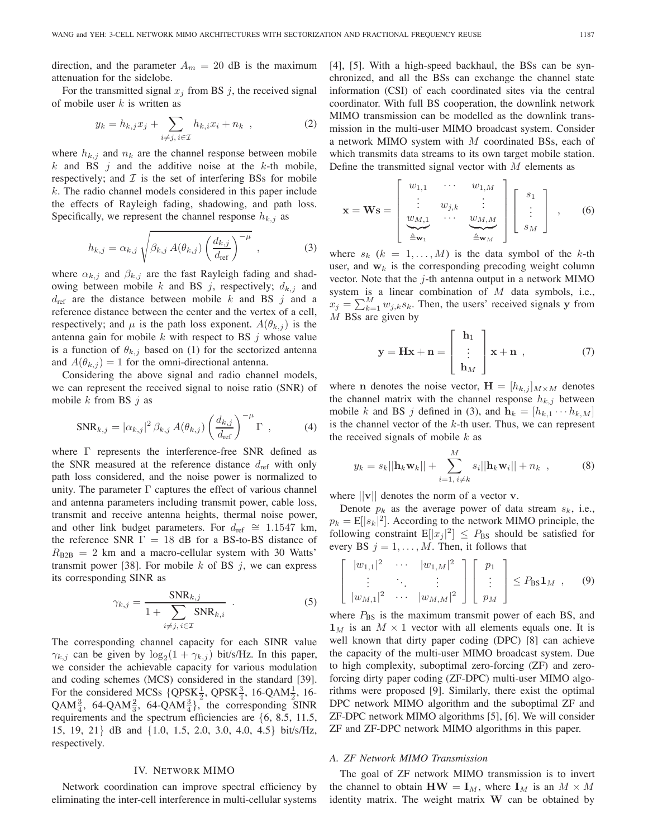direction, and the parameter  $A_m = 20$  dB is the maximum attenuation for the sidelobe.

For the transmitted signal  $x_j$  from BS  $j$ , the received signal of mobile user  $k$  is written as

$$
y_k = h_{k,j}x_j + \sum_{i \neq j, i \in \mathcal{I}} h_{k,i}x_i + n_k \quad , \tag{2}
$$

where  $h_{k,j}$  and  $n_k$  are the channel response between mobile k and BS  $j$  and the additive noise at the k-th mobile, respectively; and  $\mathcal I$  is the set of interfering BSs for mobile  $k$ . The radio channel models considered in this paper include the effects of Rayleigh fading, shadowing, and path loss. Specifically, we represent the channel response  $h_{k,j}$  as

$$
h_{k,j} = \alpha_{k,j} \sqrt{\beta_{k,j} A(\theta_{k,j}) \left(\frac{d_{k,j}}{d_{\text{ref}}}\right)^{-\mu}},
$$
 (3)

where  $\alpha_{k,j}$  and  $\beta_{k,j}$  are the fast Rayleigh fading and shadowing between mobile  $k$  and BS  $j$ , respectively;  $d_{k,j}$  and  $d_{ref}$  are the distance between mobile k and BS j and a reference distance between the center and the vertex of a cell, respectively; and  $\mu$  is the path loss exponent.  $A(\theta_{k,j})$  is the antenna gain for mobile  $k$  with respect to BS  $j$  whose value is a function of  $\theta_{k,j}$  based on (1) for the sectorized antenna and  $A(\theta_{k,j})=1$  for the omni-directional antenna.

Considering the above signal and radio channel models, we can represent the received signal to noise ratio (SNR) of mobile  $k$  from BS  $j$  as

$$
SNR_{k,j} = |\alpha_{k,j}|^2 \beta_{k,j} A(\theta_{k,j}) \left(\frac{d_{k,j}}{d_{\text{ref}}}\right)^{-\mu} \Gamma , \qquad (4)
$$

where Γ represents the interference-free SNR defined as the SNR measured at the reference distance  $d_{ref}$  with only path loss considered, and the noise power is normalized to unity. The parameter  $\Gamma$  captures the effect of various channel and antenna parameters including transmit power, cable loss, transmit and receive antenna heights, thermal noise power, and other link budget parameters. For  $d_{ref} \cong 1.1547$  km, the reference SNR  $\Gamma = 18$  dB for a BS-to-BS distance of  $R_{\text{B2B}} = 2$  km and a macro-cellular system with 30 Watts' transmit power [38]. For mobile  $k$  of BS  $j$ , we can express its corresponding SINR as

$$
\gamma_{k,j} = \frac{\text{SNR}_{k,j}}{1 + \sum_{i \neq j, i \in \mathcal{I}} \text{SNR}_{k,i}} \quad . \tag{5}
$$

The corresponding channel capacity for each SINR value  $\gamma_{k,j}$  can be given by  $\log_2(1 + \gamma_{k,j})$  bit/s/Hz. In this paper, we consider the achievable capacity for various modulation and coding schemes (MCS) considered in the standard [39]. For the considered MCSs  $\{QPSK\frac{1}{2}, QPSK\frac{3}{4}, 16\text{-}QAM\frac{1}{2}, 16\text{-}QAM\frac{1}{2}\}$ QAM<sup>3</sup>/<sub>4</sub>, 64-QAM<sup>3</sup>/<sub>4</sub><sup>3</sup>/<sub>4</sub><sup>3</sup>/<sub>4</sub><sup>5</sup> the corresponding SINR requirements and the spectrum efficiencies are {6, 8.5, 11.5, 15, 19, 21} dB and {1.0, 1.5, 2.0, 3.0, 4.0, 4.5} bit/s/Hz, respectively.

### IV. NETWORK MIMO

Network coordination can improve spectral efficiency by eliminating the inter-cell interference in multi-cellular systems [4], [5]. With a high-speed backhaul, the BSs can be synchronized, and all the BSs can exchange the channel state information (CSI) of each coordinated sites via the central coordinator. With full BS cooperation, the downlink network MIMO transmission can be modelled as the downlink transmission in the multi-user MIMO broadcast system. Consider a network MIMO system with M coordinated BSs, each of which transmits data streams to its own target mobile station. Define the transmitted signal vector with  $M$  elements as

$$
\mathbf{x} = \mathbf{W}\mathbf{s} = \begin{bmatrix} w_{1,1} & \cdots & w_{1,M} \\ \vdots & w_{j,k} & \vdots \\ w_{M,1} & \cdots & w_{M,M} \\ \frac{\Delta}{\Delta} \mathbf{w}_1 & \cdots & \frac{\Delta}{\Delta} \mathbf{w}_M \end{bmatrix} \begin{bmatrix} s_1 \\ \vdots \\ s_M \end{bmatrix} , \qquad (6)
$$

where  $s_k$  ( $k = 1, \ldots, M$ ) is the data symbol of the k-th user, and  $w_k$  is the corresponding precoding weight column vector. Note that the  $j$ -th antenna output in a network MIMO system is a linear combination of  $M$  data symbols, i.e.,  $x_j = \sum_{k=1}^{M} w_{j,k} s_k$ . Then, the users' received signals **y** from *M* BSs are given by M BSs are given by

$$
\mathbf{y} = \mathbf{H}\mathbf{x} + \mathbf{n} = \begin{bmatrix} \mathbf{h}_1 \\ \vdots \\ \mathbf{h}_M \end{bmatrix} \mathbf{x} + \mathbf{n} \tag{7}
$$

where **n** denotes the noise vector,  $\mathbf{H} = [h_{k,j}]_{M \times M}$  denotes the channel matrix with the channel response  $h_{k,j}$  between mobile k and BS j defined in (3), and  $\mathbf{h}_k = [h_{k,1} \cdots h_{k,M}]$ is the channel vector of the  $k$ -th user. Thus, we can represent the received signals of mobile  $k$  as

$$
y_k = s_k ||\mathbf{h}_k \mathbf{w}_k|| + \sum_{i=1, i \neq k}^{M} s_i ||\mathbf{h}_k \mathbf{w}_i|| + n_k , \qquad (8)
$$

where ||**v**|| denotes the norm of a vector **v**.

Denote  $p_k$  as the average power of data stream  $s_k$ , i.e.,  $p_k = E[|s_k|^2]$ . According to the network MIMO principle, the following constraint  $E[|x_k|^2] \leq P_{\text{DC}}$  should be satisfied for following constraint  $E[|x_j|^2] \leq P_{\text{BS}}$  should be satisfied for<br>every BS  $i-1$  *M*. Then it follows that every BS  $j = 1, \ldots, M$ . Then, it follows that

$$
\begin{bmatrix} |w_{1,1}|^2 & \cdots & |w_{1,M}|^2 \\ \vdots & \ddots & \vdots \\ |w_{M,1}|^2 & \cdots & |w_{M,M}|^2 \end{bmatrix} \begin{bmatrix} p_1 \\ \vdots \\ p_M \end{bmatrix} \leq P_{\text{BS}} \mathbf{1}_M , \quad (9)
$$

where  $P_{BS}$  is the maximum transmit power of each BS, and  $\mathbf{1}_M$  is an  $M \times 1$  vector with all elements equals one. It is well known that dirty paper coding (DPC) [8] can achieve the capacity of the multi-user MIMO broadcast system. Due to high complexity, suboptimal zero-forcing (ZF) and zeroforcing dirty paper coding (ZF-DPC) multi-user MIMO algorithms were proposed [9]. Similarly, there exist the optimal DPC network MIMO algorithm and the suboptimal ZF and ZF-DPC network MIMO algorithms [5], [6]. We will consider ZF and ZF-DPC network MIMO algorithms in this paper.

#### *A. ZF Network MIMO Transmission*

The goal of ZF network MIMO transmission is to invert the channel to obtain  $\mathbf{H}\mathbf{W} = \mathbf{I}_M$ , where  $\mathbf{I}_M$  is an  $M \times M$ identity matrix. The weight matrix **W** can be obtained by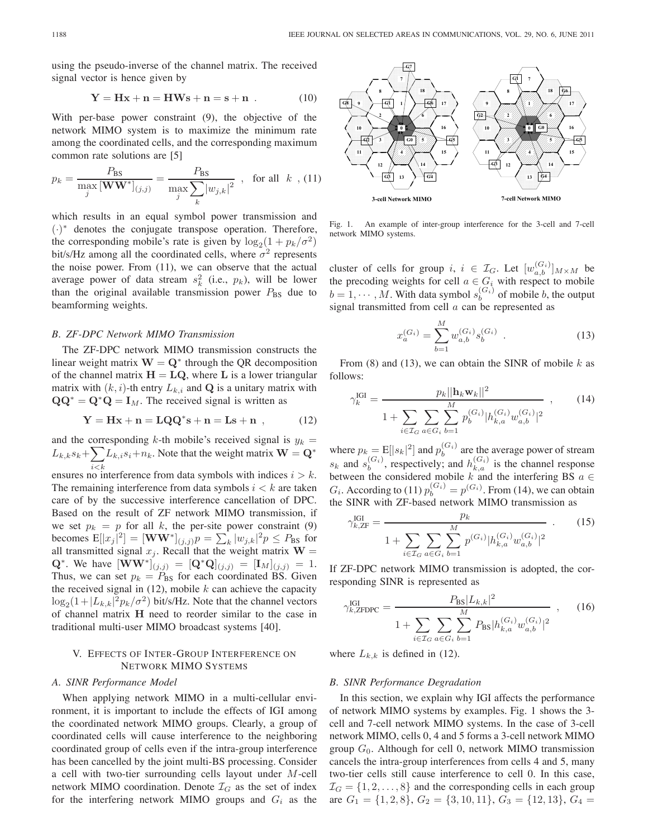using the pseudo-inverse of the channel matrix. The received signal vector is hence given by

$$
Y = Hx + n = HWs + n = s + n . \qquad (10)
$$

With per-base power constraint (9), the objective of the network MIMO system is to maximize the minimum rate among the coordinated cells, and the corresponding maximum common rate solutions are [5]

$$
p_k = \frac{P_{\text{BS}}}{\max_{j} [\mathbf{WW}^*]_{(j,j)}} = \frac{P_{\text{BS}}}{\max_{j} \sum_{k} |w_{j,k}|^2} , \text{ for all } k, (11)
$$

which results in an equal symbol power transmission and (·)<sup>∗</sup> denotes the conjugate transpose operation. Therefore, the corresponding mobile's rate is given by  $\log_2(1 + p_k/\sigma^2)$ bit/s/Hz among all the coordinated cells, where  $\sigma^2$  represents the noise power. From (11), we can observe that the actual average power of data stream  $s_k^2$  (i.e.,  $p_k$ ), will be lower than the original available transmission power  $P_{BS}$  due to beamforming weights.

## *B. ZF-DPC Network MIMO Transmission*

The ZF-DPC network MIMO transmission constructs the linear weight matrix  $W = Q^*$  through the QR decomposition of the channel matrix  $H = LQ$ , where L is a lower triangular matrix with  $(k, i)$ -th entry  $L_{k,i}$  and **Q** is a unitary matrix with  $\mathbf{Q}\mathbf{Q}^* = \mathbf{Q}^* \mathbf{Q} = \mathbf{I}_M$ . The received signal is written as

$$
Y = Hx + n = LQQ^*s + n = Ls + n \t{12}
$$

and the corresponding  $k$ -th mobile's received signal is  $y_k =$  $L_{k,k} s_k + \sum_{i < k}$  $\sum_{i \leq k} L_{k,i} s_i + n_k$ . Note that the weight matrix  $\mathbf{W} = \mathbf{Q}^*$ ensures no interference from data symbols with indices  $i > k$ . The remaining interference from data symbols  $i < k$  are taken care of by the successive interference cancellation of DPC. Based on the result of ZF network MIMO transmission, if we set  $p_k = p$  for all k, the per-site power constraint (9) becomes  $E[|x_j|^2] = [\mathbf{WW}^*]_{(j,j)} p = \sum_k |w_{j,k}|^2 p \leq P_{\text{BS}}$  for all transmitted signal  $x$ . Recall that the weight matrix  $\mathbf{W}$ all transmitted signal  $x_j$ . Recall that the weight matrix  $\mathbf{W} = \mathbf{\Omega}^* \mathbf{W}$  baye  $[\mathbf{W} \mathbf{W}^*]_{ij}$ ,  $\mathbf{w} = [\mathbf{\Omega}^* \mathbf{\Omega}]_{ij}$ ,  $\mathbf{w} = [\mathbf{I}_{ik}]_{ij}$ ,  $\mathbf{w} = 1$ **Q**<sup>\*</sup>. We have  $[\mathbf{WW}^*]_{(j,j)} = [\mathbf{Q}^* \mathbf{Q}]_{(j,j)} = [\mathbf{I}_M]_{(j,j)} = 1.$ Thus, we can set  $p_k = P_{BS}$  for each coordinated BS. Given the received signal in  $(12)$ , mobile k can achieve the capacity  $\log_2(1+|L_{k,k}|^2 p_k/\sigma^2)$  bit/s/Hz. Note that the channel vectors<br>of channel matrix H need to reorder similar to the case in of channel matrix **H** need to reorder similar to the case in traditional multi-user MIMO broadcast systems [40].

# V. EFFECTS OF INTER-GROUP INTERFERENCE ON NETWORK MIMO SYSTEMS

## *A. SINR Performance Model*

When applying network MIMO in a multi-cellular environment, it is important to include the effects of IGI among the coordinated network MIMO groups. Clearly, a group of coordinated cells will cause interference to the neighboring coordinated group of cells even if the intra-group interference has been cancelled by the joint multi-BS processing. Consider a cell with two-tier surrounding cells layout under M-cell network MIMO coordination. Denote  $\mathcal{I}_G$  as the set of index for the interfering network MIMO groups and G*<sup>i</sup>* as the



Fig. 1. An example of inter-group interference for the 3-cell and 7-cell network MIMO systems.

cluster of cells for group  $i, i \in \mathcal{I}_G$ . Let  $[w_{a,b}^{(G_i)}]_{M \times M}$  be the precoding weights for cell  $a \in G_i$  with respect to mobile  $b = 1, \dots, M$ . With data symbol  $s_b^{(G_i)}$  of mobile b, the output signal transmitted from cell a can be represented as signal transmitted from cell  $a$  can be represented as

$$
x_a^{(G_i)} = \sum_{b=1}^{M} w_{a,b}^{(G_i)} s_b^{(G_i)} . \tag{13}
$$

From (8) and (13), we can obtain the SINR of mobile  $k$  as follows:

$$
\gamma_k^{\text{IGI}} = \frac{p_k ||\mathbf{h}_k \mathbf{w}_k||^2}{1 + \sum_{i \in \mathcal{I}_G} \sum_{a \in G_i} \sum_{b=1}^M p_b^{(G_i)} |h_{k,a}^{(G_i)} w_{a,b}^{(G_i)}|^2}, \qquad (14)
$$

where  $p_k = \mathbb{E}[|s_k|^2]$  and  $p_b^{(G_i)}$  are the average power of stream  $s_k$  and  $s_b^{(G_i)}$ , respectively; and  $h_{k,a}^{(G_i)}$  is the channel response between the considered mobile k and the interfering BS  $a \in$  $G_i$ . According to (11)  $p_b^{(G_i)} = p^{(G_i)}$ . From (14), we can obtain the SINR with ZE-based network MIMO transmission as the SINR with ZF-based network MIMO transmission as

$$
\gamma_{k, \text{ZF}}^{\text{IGI}} = \frac{p_k}{1 + \sum_{i \in \mathcal{I}_G} \sum_{a \in G_i} \sum_{b=1}^M p^{(G_i)} |h_{k, a}^{(G_i)} w_{a, b}^{(G_i)}|^2} \qquad (15)
$$

If ZF-DPC network MIMO transmission is adopted, the corresponding SINR is represented as

$$
\gamma_{k,\text{ZFDPC}}^{\text{IGI}} = \frac{P_{\text{BS}}|L_{k,k}|^2}{1 + \sum_{i \in \mathcal{I}_G} \sum_{a \in G_i} \sum_{b=1}^M P_{\text{BS}} |h_{k,a}^{(G_i)} w_{a,b}^{(G_i)}|^2}, \quad (16)
$$

where  $L_{k,k}$  is defined in (12).

# *B. SINR Performance Degradation*

In this section, we explain why IGI affects the performance of network MIMO systems by examples. Fig. 1 shows the 3 cell and 7-cell network MIMO systems. In the case of 3-cell network MIMO, cells 0, 4 and 5 forms a 3-cell network MIMO group  $G_0$ . Although for cell 0, network MIMO transmission cancels the intra-group interferences from cells 4 and 5, many two-tier cells still cause interference to cell 0. In this case,  $\mathcal{I}_G = \{1, 2, \ldots, 8\}$  and the corresponding cells in each group are  $G_1 = \{1, 2, 8\}, G_2 = \{3, 10, 11\}, G_3 = \{12, 13\}, G_4 =$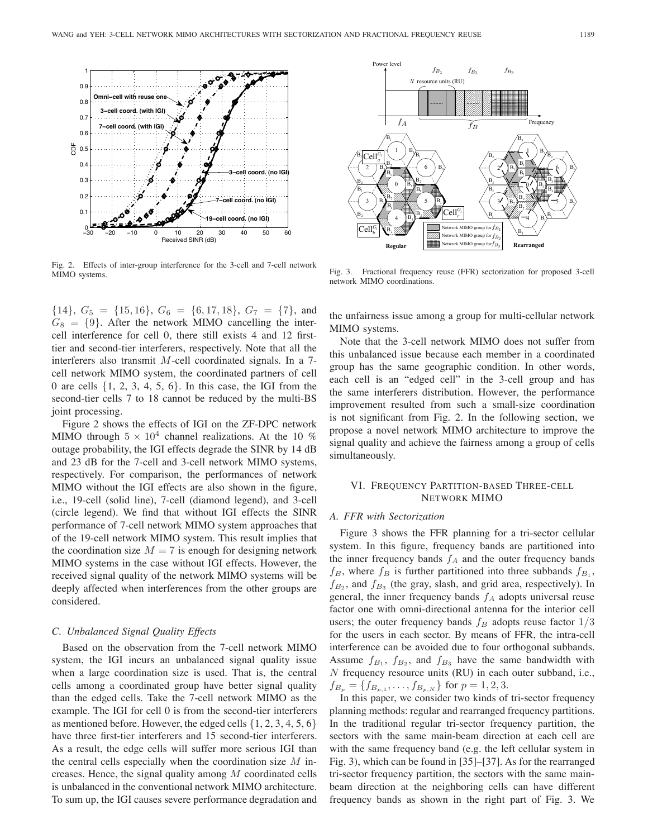

Fig. 2. Effects of inter-group interference for the 3-cell and 7-cell network MIMO systems.

 $\{14\}, G_5 = \{15, 16\}, G_6 = \{6, 17, 18\}, G_7 = \{7\}, \text{ and }$  $G_8 = \{9\}$ . After the network MIMO cancelling the intercell interference for cell 0, there still exists 4 and 12 firsttier and second-tier interferers, respectively. Note that all the interferers also transmit M-cell coordinated signals. In a 7 cell network MIMO system, the coordinated partners of cell 0 are cells  $\{1, 2, 3, 4, 5, 6\}$ . In this case, the IGI from the second-tier cells 7 to 18 cannot be reduced by the multi-BS joint processing.

Figure 2 shows the effects of IGI on the ZF-DPC network MIMO through  $5 \times 10^4$  channel realizations. At the 10 % outage probability, the IGI effects degrade the SINR by 14 dB and 23 dB for the 7-cell and 3-cell network MIMO systems, respectively. For comparison, the performances of network MIMO without the IGI effects are also shown in the figure, i.e., 19-cell (solid line), 7-cell (diamond legend), and 3-cell (circle legend). We find that without IGI effects the SINR performance of 7-cell network MIMO system approaches that of the 19-cell network MIMO system. This result implies that the coordination size  $M = 7$  is enough for designing network MIMO systems in the case without IGI effects. However, the received signal quality of the network MIMO systems will be deeply affected when interferences from the other groups are considered.

#### *C. Unbalanced Signal Quality Effects*

Based on the observation from the 7-cell network MIMO system, the IGI incurs an unbalanced signal quality issue when a large coordination size is used. That is, the central cells among a coordinated group have better signal quality than the edged cells. Take the 7-cell network MIMO as the example. The IGI for cell 0 is from the second-tier interferers as mentioned before. However, the edged cells  $\{1, 2, 3, 4, 5, 6\}$ have three first-tier interferers and 15 second-tier interferers. As a result, the edge cells will suffer more serious IGI than the central cells especially when the coordination size  $M$  increases. Hence, the signal quality among  $M$  coordinated cells is unbalanced in the conventional network MIMO architecture. To sum up, the IGI causes severe performance degradation and



Fig. 3. Fractional frequency reuse (FFR) sectorization for proposed 3-cell network MIMO coordinations.

the unfairness issue among a group for multi-cellular network MIMO systems.

Note that the 3-cell network MIMO does not suffer from this unbalanced issue because each member in a coordinated group has the same geographic condition. In other words, each cell is an "edged cell" in the 3-cell group and has the same interferers distribution. However, the performance improvement resulted from such a small-size coordination is not significant from Fig. 2. In the following section, we propose a novel network MIMO architecture to improve the signal quality and achieve the fairness among a group of cells simultaneously.

# VI. FREQUENCY PARTITION-BASED THREE-CELL NETWORK MIMO

## *A. FFR with Sectorization*

Figure 3 shows the FFR planning for a tri-sector cellular system. In this figure, frequency bands are partitioned into the inner frequency bands  $f_A$  and the outer frequency bands  $f_B$ , where  $f_B$  is further partitioned into three subbands  $f_{B_1}$ ,  $f_{B_2}$ , and  $f_{B_3}$  (the gray, slash, and grid area, respectively). In general, the inner frequency bands  $f_A$  adopts universal reuse factor one with omni-directional antenna for the interior cell users; the outer frequency bands  $f_B$  adopts reuse factor  $1/3$ for the users in each sector. By means of FFR, the intra-cell interference can be avoided due to four orthogonal subbands. Assume  $f_{B_1}$ ,  $f_{B_2}$ , and  $f_{B_3}$  have the same bandwidth with  $N$  frequency resource units (RU) in each outer subband, i.e.,  $f_{B_p} = \{f_{B_{p,1}}, \ldots, f_{B_{p,N}}\}$  for  $p = 1, 2, 3$ .

In this paper, we consider two kinds of tri-sector frequency planning methods: regular and rearranged frequency partitions. In the traditional regular tri-sector frequency partition, the sectors with the same main-beam direction at each cell are with the same frequency band (e.g. the left cellular system in Fig. 3), which can be found in [35]–[37]. As for the rearranged tri-sector frequency partition, the sectors with the same mainbeam direction at the neighboring cells can have different frequency bands as shown in the right part of Fig. 3. We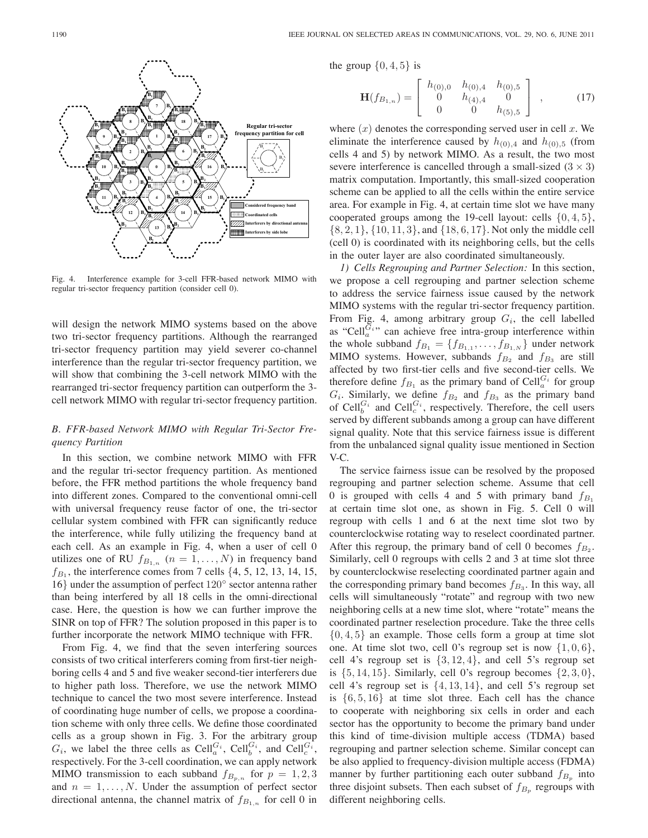

Fig. 4. Interference example for 3-cell FFR-based network MIMO with regular tri-sector frequency partition (consider cell 0).

will design the network MIMO systems based on the above two tri-sector frequency partitions. Although the rearranged tri-sector frequency partition may yield severer co-channel interference than the regular tri-sector frequency partition, we will show that combining the 3-cell network MIMO with the rearranged tri-sector frequency partition can outperform the 3 cell network MIMO with regular tri-sector frequency partition.

# *B. FFR-based Network MIMO with Regular Tri-Sector Frequency Partition*

In this section, we combine network MIMO with FFR and the regular tri-sector frequency partition. As mentioned before, the FFR method partitions the whole frequency band into different zones. Compared to the conventional omni-cell with universal frequency reuse factor of one, the tri-sector cellular system combined with FFR can significantly reduce the interference, while fully utilizing the frequency band at each cell. As an example in Fig. 4, when a user of cell 0 utilizes one of RU  $f_{B_{1,n}}$   $(n = 1, \ldots, N)$  in frequency band  $f_{B_1}$ , the interference comes from 7 cells  $\{4, 5, 12, 13, 14, 15,$ <sup>16</sup>} under the assumption of perfect <sup>120</sup>◦ sector antenna rather than being interfered by all 18 cells in the omni-directional case. Here, the question is how we can further improve the SINR on top of FFR? The solution proposed in this paper is to further incorporate the network MIMO technique with FFR.

From Fig. 4, we find that the seven interfering sources consists of two critical interferers coming from first-tier neighboring cells 4 and 5 and five weaker second-tier interferers due to higher path loss. Therefore, we use the network MIMO technique to cancel the two most severe interference. Instead of coordinating huge number of cells, we propose a coordination scheme with only three cells. We define those coordinated cells as a group shown in Fig. 3. For the arbitrary group  $G_i$ , we label the three cells as  $\text{Cell}_a^{G_i}$ ,  $\text{Cell}_b^{G_i}$ , and  $\text{Cell}_c^{G_i}$ , respectively. For the 3-cell coordination, we can apply network MIMO transmission to each subband  $f_{B_{p,n}}$  for  $p = 1, 2, 3$ and  $n = 1, \ldots, N$ . Under the assumption of perfect sector directional antenna, the channel matrix of  $f_{B_{1,n}}$  for cell 0 in

the group  $\{0, 4, 5\}$  is

$$
\mathbf{H}(f_{B_{1,n}}) = \begin{bmatrix} h_{(0),0} & h_{(0),4} & h_{(0),5} \\ 0 & h_{(4),4} & 0 \\ 0 & 0 & h_{(5),5} \end{bmatrix} , \quad (17)
$$

where  $(x)$  denotes the corresponding served user in cell x. We eliminate the interference caused by  $h_{(0),4}$  and  $h_{(0),5}$  (from cells 4 and 5) by network MIMO. As a result, the two most severe interference is cancelled through a small-sized  $(3 \times 3)$ matrix computation. Importantly, this small-sized cooperation scheme can be applied to all the cells within the entire service area. For example in Fig. 4, at certain time slot we have many cooperated groups among the 19-cell layout: cells  $\{0, 4, 5\}$ , {8, 2, 1}, {10, 11, 3}, and {18, 6, 17}. Not only the middle cell (cell 0) is coordinated with its neighboring cells, but the cells in the outer layer are also coordinated simultaneously.

*1) Cells Regrouping and Partner Selection:* In this section, we propose a cell regrouping and partner selection scheme to address the service fairness issue caused by the network MIMO systems with the regular tri-sector frequency partition. From Fig. 4, among arbitrary group G*i*, the cell labelled as "Cell $\tilde{G}_i$ " can achieve free intra-group interference within the whole subband  $f_{B_1} = \{f_{B_{1,1}}, \ldots, f_{B_{1,N}}\}$  under network MIMO systems. However, subbands  $f_{B_2}$  and  $f_{B_3}$  are still affected by two first-tier cells and five second-tier cells. We therefore define  $f_{B_1}$  as the primary band of Cell<sup> $G_i$ </sup> for group  $G_i$ . Similarly, we define  $f_{B_2}$  and  $f_{B_3}$  as the primary band of Cell<sup>*G<sub>i</sub>*</sup> and Cell<sup>*G<sub>i</sub>*</sup>, respectively. Therefore, the cell users served by different subbands among a group can have different signal quality. Note that this service fairness issue is different from the unbalanced signal quality issue mentioned in Section V-C.

The service fairness issue can be resolved by the proposed regrouping and partner selection scheme. Assume that cell 0 is grouped with cells 4 and 5 with primary band  $f_{B_1}$ at certain time slot one, as shown in Fig. 5. Cell 0 will regroup with cells 1 and 6 at the next time slot two by counterclockwise rotating way to reselect coordinated partner. After this regroup, the primary band of cell 0 becomes  $f_{B_2}$ . Similarly, cell 0 regroups with cells 2 and 3 at time slot three by counterclockwise reselecting coordinated partner again and the corresponding primary band becomes  $f_{B_3}$ . In this way, all cells will simultaneously "rotate" and regroup with two new neighboring cells at a new time slot, where "rotate" means the coordinated partner reselection procedure. Take the three cells  $\{0, 4, 5\}$  an example. Those cells form a group at time slot one. At time slot two, cell 0's regroup set is now  $\{1,0,6\}$ , cell 4's regroup set is  $\{3, 12, 4\}$ , and cell 5's regroup set is  $\{5, 14, 15\}$ . Similarly, cell 0's regroup becomes  $\{2, 3, 0\}$ , cell 4's regroup set is  $\{4, 13, 14\}$ , and cell 5's regroup set is  $\{6, 5, 16\}$  at time slot three. Each cell has the chance to cooperate with neighboring six cells in order and each sector has the opportunity to become the primary band under this kind of time-division multiple access (TDMA) based regrouping and partner selection scheme. Similar concept can be also applied to frequency-division multiple access (FDMA) manner by further partitioning each outer subband  $f_{B_n}$  into three disjoint subsets. Then each subset of  $f_{B_p}$  regroups with different neighboring cells.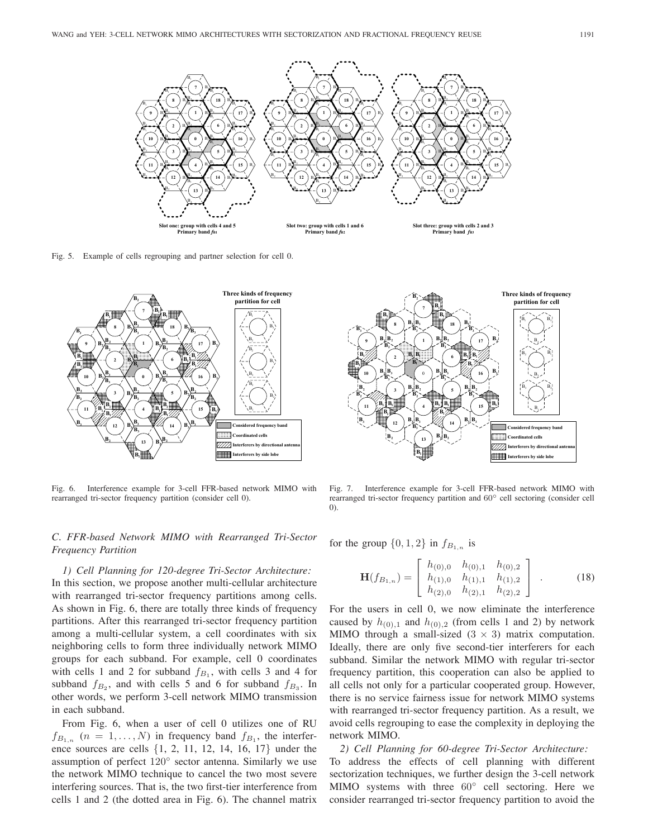

Fig. 5. Example of cells regrouping and partner selection for cell 0.



Fig. 6. Interference example for 3-cell FFR-based network MIMO with rearranged tri-sector frequency partition (consider cell 0).

# *C. FFR-based Network MIMO with Rearranged Tri-Sector Frequency Partition*

*1) Cell Planning for 120-degree Tri-Sector Architecture:* In this section, we propose another multi-cellular architecture with rearranged tri-sector frequency partitions among cells. As shown in Fig. 6, there are totally three kinds of frequency partitions. After this rearranged tri-sector frequency partition among a multi-cellular system, a cell coordinates with six neighboring cells to form three individually network MIMO groups for each subband. For example, cell 0 coordinates with cells 1 and 2 for subband  $f_{B_1}$ , with cells 3 and 4 for subband  $f_{B_2}$ , and with cells 5 and 6 for subband  $f_{B_3}$ . In other words, we perform 3-cell network MIMO transmission in each subband.

From Fig. 6, when a user of cell 0 utilizes one of RU  $f_{B_{1,n}}$   $(n = 1, \ldots, N)$  in frequency band  $f_{B_1}$ , the interference sources are cells {1, 2, 11, 12, 14, 16, 17} under the assumption of perfect 120◦ sector antenna. Similarly we use the network MIMO technique to cancel the two most severe interfering sources. That is, the two first-tier interference from cells 1 and 2 (the dotted area in Fig. 6). The channel matrix



Fig. 7. Interference example for 3-cell FFR-based network MIMO with rearranged tri-sector frequency partition and 60◦ cell sectoring (consider cell 0).

for the group  $\{0, 1, 2\}$  in  $f_{B_{1,n}}$  is

$$
\mathbf{H}(f_{B_{1,n}}) = \begin{bmatrix} h_{(0),0} & h_{(0),1} & h_{(0),2} \\ h_{(1),0} & h_{(1),1} & h_{(1),2} \\ h_{(2),0} & h_{(2),1} & h_{(2),2} \end{bmatrix} .
$$
 (18)

For the users in cell 0, we now eliminate the interference caused by  $h_{(0),1}$  and  $h_{(0),2}$  (from cells 1 and 2) by network MIMO through a small-sized  $(3 \times 3)$  matrix computation. Ideally, there are only five second-tier interferers for each subband. Similar the network MIMO with regular tri-sector frequency partition, this cooperation can also be applied to all cells not only for a particular cooperated group. However, there is no service fairness issue for network MIMO systems with rearranged tri-sector frequency partition. As a result, we avoid cells regrouping to ease the complexity in deploying the network MIMO.

*2) Cell Planning for 60-degree Tri-Sector Architecture:* To address the effects of cell planning with different sectorization techniques, we further design the 3-cell network MIMO systems with three  $60^\circ$  cell sectoring. Here we consider rearranged tri-sector frequency partition to avoid the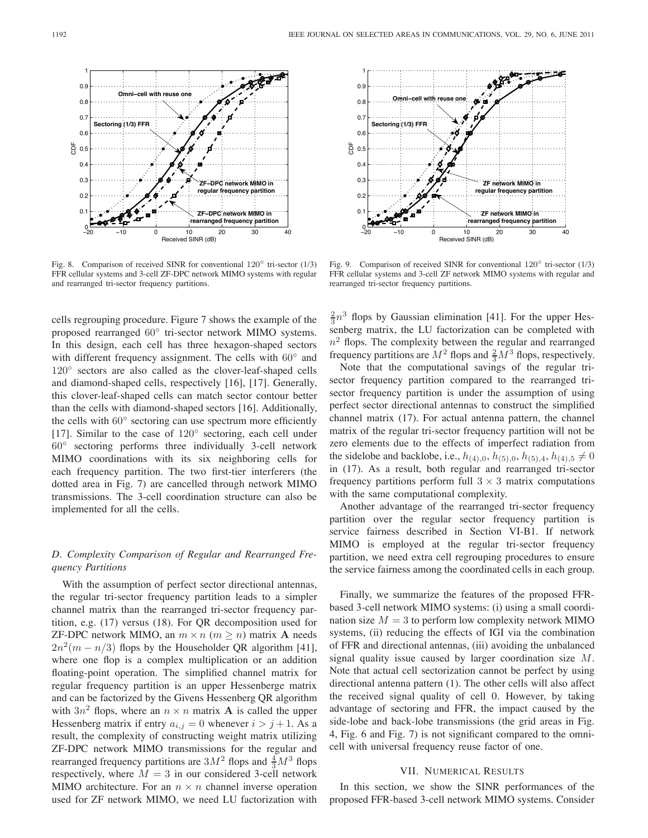

Fig. 8. Comparison of received SINR for conventional  $120^\circ$  tri-sector (1/3) FFR cellular systems and 3-cell ZF-DPC network MIMO systems with regular and rearranged tri-sector frequency partitions.

cells regrouping procedure. Figure 7 shows the example of the proposed rearranged <sup>60</sup>◦ tri-sector network MIMO systems. In this design, each cell has three hexagon-shaped sectors with different frequency assignment. The cells with 60<sup>°</sup> and 120<sup>°</sup> sectors are also called as the clover-leaf-shaped cells and diamond-shaped cells, respectively [16], [17]. Generally, this clover-leaf-shaped cells can match sector contour better than the cells with diamond-shaped sectors [16]. Additionally, the cells with 60◦ sectoring can use spectrum more efficiently [17]. Similar to the case of 120° sectoring, each cell under 60◦ sectoring performs three individually 3-cell network MIMO coordinations with its six neighboring cells for each frequency partition. The two first-tier interferers (the dotted area in Fig. 7) are cancelled through network MIMO transmissions. The 3-cell coordination structure can also be implemented for all the cells.

# *D. Complexity Comparison of Regular and Rearranged Frequency Partitions*

With the assumption of perfect sector directional antennas, the regular tri-sector frequency partition leads to a simpler channel matrix than the rearranged tri-sector frequency partition, e.g. (17) versus (18). For QR decomposition used for ZF-DPC network MIMO, an  $m \times n$  ( $m \ge n$ ) matrix **A** needs  $2n^2(m - n/3)$  flops by the Householder QR algorithm [41], where one flop is a complex multiplication or an addition floating-point operation. The simplified channel matrix for regular frequency partition is an upper Hessenberge matrix and can be factorized by the Givens Hessenberg QR algorithm with  $3n^2$  flops, where an  $n \times n$  matrix **A** is called the upper Hessenberg matrix if entry  $a_{i,j} = 0$  whenever  $i > j + 1$ . As a result, the complexity of constructing weight matrix utilizing ZF-DPC network MIMO transmissions for the regular and rearranged frequency partitions are  $3M^2$  flops and  $\frac{4}{3}M^3$  flops<br>respectively, where  $M = 3$  in our considered 3-cell network respectively, where  $M = 3$  in our considered 3-cell network MIMO architecture. For an  $n \times n$  channel inverse operation used for ZF network MIMO, we need LU factorization with



Fig. 9. Comparison of received SINR for conventional  $120^\circ$  tri-sector (1/3) FFR cellular systems and 3-cell ZF network MIMO systems with regular and rearranged tri-sector frequency partitions.

 $\frac{2}{3}n^3$  flops by Gaussian elimination [41]. For the upper Hessenberg matrix, the LU factorization can be completed with  $n^2$  flops. The complexity between the regular and rearranged frequency partitions are  $M^2$  flops and  $\frac{2}{3}M^3$  flops, respectively.

Note that the computational savings of the regular trisector frequency partition compared to the rearranged trisector frequency partition is under the assumption of using perfect sector directional antennas to construct the simplified channel matrix (17). For actual antenna pattern, the channel matrix of the regular tri-sector frequency partition will not be zero elements due to the effects of imperfect radiation from the sidelobe and backlobe, i.e.,  $h_{(4),0}$ ,  $h_{(5),0}$ ,  $h_{(5),4}$ ,  $h_{(4),5} \neq 0$ in (17). As a result, both regular and rearranged tri-sector frequency partitions perform full  $3 \times 3$  matrix computations with the same computational complexity.

Another advantage of the rearranged tri-sector frequency partition over the regular sector frequency partition is service fairness described in Section VI-B1. If network MIMO is employed at the regular tri-sector frequency partition, we need extra cell regrouping procedures to ensure the service fairness among the coordinated cells in each group.

Finally, we summarize the features of the proposed FFRbased 3-cell network MIMO systems: (i) using a small coordination size  $M = 3$  to perform low complexity network MIMO systems, (ii) reducing the effects of IGI via the combination of FFR and directional antennas, (iii) avoiding the unbalanced signal quality issue caused by larger coordination size  $M$ . Note that actual cell sectorization cannot be perfect by using directional antenna pattern (1). The other cells will also affect the received signal quality of cell 0. However, by taking advantage of sectoring and FFR, the impact caused by the side-lobe and back-lobe transmissions (the grid areas in Fig. 4, Fig. 6 and Fig. 7) is not significant compared to the omnicell with universal frequency reuse factor of one.

# VII. NUMERICAL RESULTS

In this section, we show the SINR performances of the proposed FFR-based 3-cell network MIMO systems. Consider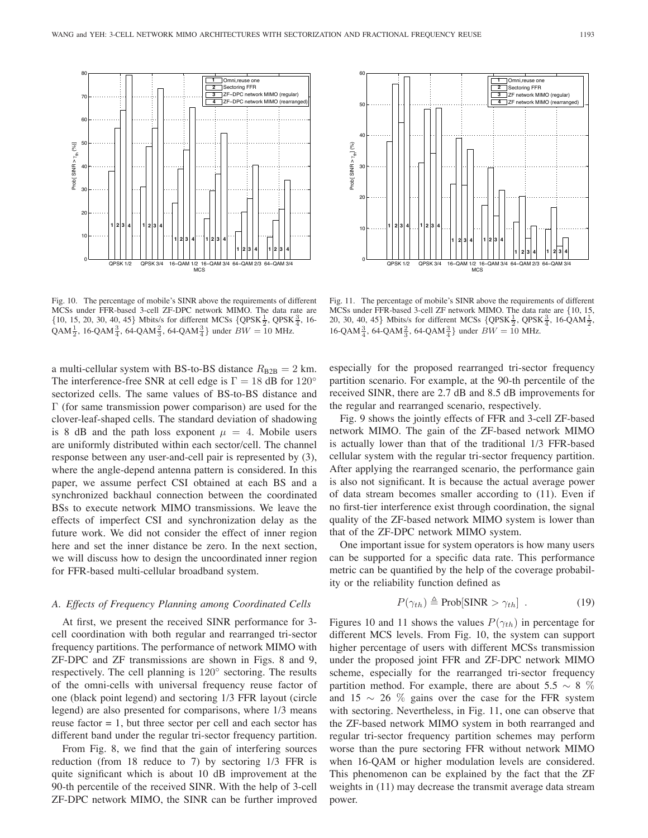

60 Omni,reuse one **1** Sectoring FFR **2** ZERENDO<br>ZF network MIMO (regular) **3** ZF network MIMO (rearranged) **4** 50 40  $Proof$  SINR  $>Y_{th}$ ] (%)  $\mathsf{Prob}[\,\mathsf{SINR} > \gamma_{\mathrm{th}}]\,( ^\circ \!\! \circ \bar{\mathsf{k}})$ 30 20 **1 2 3 4 1 23 4** 10 **1 2 3 4 1 2 3 4 1 2 3 4 1 2 3 4** QPSK 3/4 16-QAM 1/2 16-QAM 3/4 **MCS** 

Fig. 10. The percentage of mobile's SINR above the requirements of different MCSs under FFR-based 3-cell ZF-DPC network MIMO. The data rate are  $\{10, 15, 20, 30, 40, 45\}$  Mbits/s for different MCSs  $\{QPSK\frac{1}{2}, QPSK\frac{3}{4}, 16\}$  $QAM\frac{1}{2}$ , 16-QAM $\frac{3}{4}$ , 64-QAM $\frac{2}{3}$ , 64-QAM $\frac{3}{4}$ } under  $BW = 10$  MHz.

a multi-cellular system with BS-to-BS distance  $R_{\text{B2B}} = 2 \text{ km}$ . The interference-free SNR at cell edge is  $\Gamma = 18$  dB for  $120^\circ$ sectorized cells. The same values of BS-to-BS distance and  $\Gamma$  (for same transmission power comparison) are used for the clover-leaf-shaped cells. The standard deviation of shadowing is 8 dB and the path loss exponent  $\mu = 4$ . Mobile users are uniformly distributed within each sector/cell. The channel response between any user-and-cell pair is represented by (3), where the angle-depend antenna pattern is considered. In this paper, we assume perfect CSI obtained at each BS and a synchronized backhaul connection between the coordinated BSs to execute network MIMO transmissions. We leave the effects of imperfect CSI and synchronization delay as the future work. We did not consider the effect of inner region here and set the inner distance be zero. In the next section, we will discuss how to design the uncoordinated inner region for FFR-based multi-cellular broadband system.

## *A. Effects of Frequency Planning among Coordinated Cells*

At first, we present the received SINR performance for 3 cell coordination with both regular and rearranged tri-sector frequency partitions. The performance of network MIMO with ZF-DPC and ZF transmissions are shown in Figs. 8 and 9, respectively. The cell planning is 120◦ sectoring. The results of the omni-cells with universal frequency reuse factor of one (black point legend) and sectoring 1/3 FFR layout (circle legend) are also presented for comparisons, where 1/3 means reuse factor  $= 1$ , but three sector per cell and each sector has different band under the regular tri-sector frequency partition.

From Fig. 8, we find that the gain of interfering sources reduction (from 18 reduce to 7) by sectoring 1/3 FFR is quite significant which is about 10 dB improvement at the 90-th percentile of the received SINR. With the help of 3-cell ZF-DPC network MIMO, the SINR can be further improved

especially for the proposed rearranged tri-sector frequency partition scenario. For example, at the 90-th percentile of the received SINR, there are 2.7 dB and 8.5 dB improvements for

Fig. 11. The percentage of mobile's SINR above the requirements of different MCSs under FFR-based 3-cell ZF network MIMO. The data rate are {10, 15, 20, 30, 40, 45} Mbits/s for different MCSs  $\{\text{QPSK}\frac{1}{2}, \text{QPSK}\frac{3}{4}, 16\text{-QAM}\frac{1}{2}, \text{QPSK}\frac{1}{2}\}$ 

16-QAM $\frac{3}{4}$ , 64-QAM $\frac{2}{3}$ , 64-QAM $\frac{3}{4}$ } under *BW* = 10 MHz.

the regular and rearranged scenario, respectively. Fig. 9 shows the jointly effects of FFR and 3-cell ZF-based network MIMO. The gain of the ZF-based network MIMO is actually lower than that of the traditional 1/3 FFR-based cellular system with the regular tri-sector frequency partition. After applying the rearranged scenario, the performance gain is also not significant. It is because the actual average power of data stream becomes smaller according to (11). Even if no first-tier interference exist through coordination, the signal quality of the ZF-based network MIMO system is lower than that of the ZF-DPC network MIMO system.

One important issue for system operators is how many users can be supported for a specific data rate. This performance metric can be quantified by the help of the coverage probability or the reliability function defined as

$$
P(\gamma_{th}) \triangleq \text{Prob}[\text{SINR} > \gamma_{th}] \tag{19}
$$

Figures 10 and 11 shows the values  $P(\gamma_{th})$  in percentage for different MCS levels. From Fig. 10, the system can support higher percentage of users with different MCSs transmission under the proposed joint FFR and ZF-DPC network MIMO scheme, especially for the rearranged tri-sector frequency partition method. For example, there are about 5.5  $\sim 8\%$ and 15  $\sim$  26 % gains over the case for the FFR system with sectoring. Nevertheless, in Fig. 11, one can observe that the ZF-based network MIMO system in both rearranged and regular tri-sector frequency partition schemes may perform worse than the pure sectoring FFR without network MIMO when 16-QAM or higher modulation levels are considered. This phenomenon can be explained by the fact that the ZF weights in (11) may decrease the transmit average data stream power.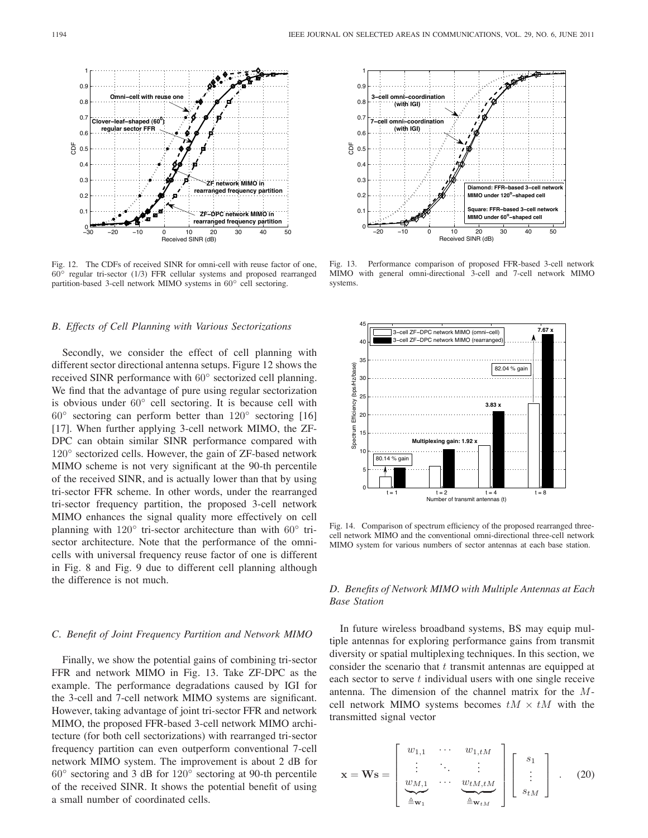

Fig. 12. The CDFs of received SINR for omni-cell with reuse factor of one, 60◦ regular tri-sector (1/3) FFR cellular systems and proposed rearranged partition-based 3-cell network MIMO systems in 60◦ cell sectoring.

#### *B. Effects of Cell Planning with Various Sectorizations*

Secondly, we consider the effect of cell planning with different sector directional antenna setups. Figure 12 shows the received SINR performance with 60◦ sectorized cell planning. We find that the advantage of pure using regular sectorization is obvious under 60◦ cell sectoring. It is because cell with  $60°$  sectoring can perform better than  $120°$  sectoring [16] [17]. When further applying 3-cell network MIMO, the ZF-DPC can obtain similar SINR performance compared with 120<sup>°</sup> sectorized cells. However, the gain of ZF-based network MIMO scheme is not very significant at the 90-th percentile of the received SINR, and is actually lower than that by using tri-sector FFR scheme. In other words, under the rearranged tri-sector frequency partition, the proposed 3-cell network MIMO enhances the signal quality more effectively on cell planning with 120° tri-sector architecture than with 60° trisector architecture. Note that the performance of the omnicells with universal frequency reuse factor of one is different in Fig. 8 and Fig. 9 due to different cell planning although the difference is not much.

## *C. Benefit of Joint Frequency Partition and Network MIMO*

Finally, we show the potential gains of combining tri-sector FFR and network MIMO in Fig. 13. Take ZF-DPC as the example. The performance degradations caused by IGI for the 3-cell and 7-cell network MIMO systems are significant. However, taking advantage of joint tri-sector FFR and network MIMO, the proposed FFR-based 3-cell network MIMO architecture (for both cell sectorizations) with rearranged tri-sector frequency partition can even outperform conventional 7-cell network MIMO system. The improvement is about 2 dB for 60◦ sectoring and 3 dB for 120◦ sectoring at 90-th percentile of the received SINR. It shows the potential benefit of using a small number of coordinated cells.



Fig. 13. Performance comparison of proposed FFR-based 3-cell network MIMO with general omni-directional 3-cell and 7-cell network MIMO systems.



Fig. 14. Comparison of spectrum efficiency of the proposed rearranged threecell network MIMO and the conventional omni-directional three-cell network MIMO system for various numbers of sector antennas at each base station.

# *D. Benefits of Network MIMO with Multiple Antennas at Each Base Station*

In future wireless broadband systems, BS may equip multiple antennas for exploring performance gains from transmit diversity or spatial multiplexing techniques. In this section, we consider the scenario that  $t$  transmit antennas are equipped at each sector to serve  $t$  individual users with one single receive antenna. The dimension of the channel matrix for the Mcell network MIMO systems becomes  $tM \times tM$  with the transmitted signal vector

$$
\mathbf{x} = \mathbf{W}\mathbf{s} = \begin{bmatrix} w_{1,1} & \cdots & w_{1,tM} \\ \vdots & \ddots & \vdots \\ w_{M,1} & \cdots & w_{tM,tM} \\ \frac{\Delta}{2}w_1 & \frac{\Delta}{2}w_{tM} \end{bmatrix} \begin{bmatrix} s_1 \\ \vdots \\ s_{tM} \end{bmatrix} . \quad (20)
$$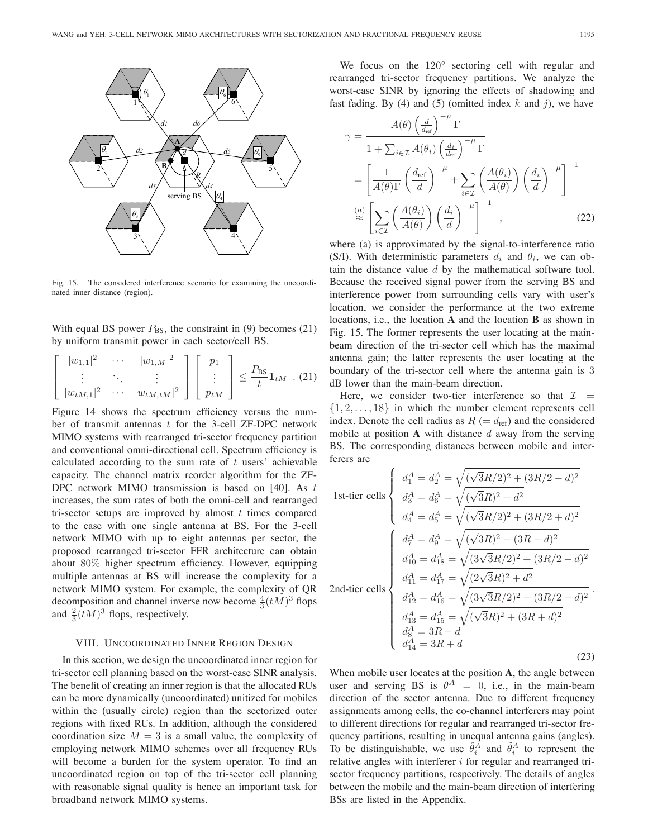

Fig. 15. The considered interference scenario for examining the uncoordinated inner distance (region).

With equal BS power  $P_{BS}$ , the constraint in (9) becomes (21) by uniform transmit power in each sector/cell BS.

$$
\begin{bmatrix} |w_{1,1}|^2 & \cdots & |w_{1,M}|^2 \\ \vdots & \ddots & \vdots \\ |w_{tM,1}|^2 & \cdots & |w_{tM,tM}|^2 \end{bmatrix} \begin{bmatrix} p_1 \\ \vdots \\ p_{tM} \end{bmatrix} \leq \frac{P_{\text{BS}}}{t} \mathbf{1}_{tM} \quad (21)
$$

Figure 14 shows the spectrum efficiency versus the number of transmit antennas  $t$  for the 3-cell ZF-DPC network MIMO systems with rearranged tri-sector frequency partition and conventional omni-directional cell. Spectrum efficiency is calculated according to the sum rate of  $t$  users' achievable capacity. The channel matrix reorder algorithm for the ZF-DPC network MIMO transmission is based on  $[40]$ . As t increases, the sum rates of both the omni-cell and rearranged tri-sector setups are improved by almost  $t$  times compared to the case with one single antenna at BS. For the 3-cell network MIMO with up to eight antennas per sector, the proposed rearranged tri-sector FFR architecture can obtain about 80% higher spectrum efficiency. However, equipping multiple antennas at BS will increase the complexity for a network MIMO system. For example, the complexity of QR decomposition and channel inverse now become  $\frac{4}{3} (tM)^3$  flops<br>and  $\frac{2}{3} (tM)^3$  flops respectively and  $\frac{2}{3}(tM)^3$  flops, respectively.

## VIII. UNCOORDINATED INNER REGION DESIGN

In this section, we design the uncoordinated inner region for tri-sector cell planning based on the worst-case SINR analysis. The benefit of creating an inner region is that the allocated RUs can be more dynamically (uncoordinated) unitized for mobiles within the (usually circle) region than the sectorized outer regions with fixed RUs. In addition, although the considered coordination size  $M = 3$  is a small value, the complexity of employing network MIMO schemes over all frequency RUs will become a burden for the system operator. To find an uncoordinated region on top of the tri-sector cell planning with reasonable signal quality is hence an important task for broadband network MIMO systems.

We focus on the 120° sectoring cell with regular and rearranged tri-sector frequency partitions. We analyze the worst-case SINR by ignoring the effects of shadowing and fast fading. By (4) and (5) (omitted index k and j), we have

$$
\gamma = \frac{A(\theta) \left(\frac{d}{d_{\text{ref}}}\right)^{-\mu} \Gamma}{1 + \sum_{i \in \mathcal{I}} A(\theta_i) \left(\frac{d_i}{d_{\text{ref}}}\right)^{-\mu} \Gamma}
$$
  
= 
$$
\left[\frac{1}{A(\theta)\Gamma} \left(\frac{d_{\text{ref}}}{d}\right)^{-\mu} + \sum_{i \in \mathcal{I}} \left(\frac{A(\theta_i)}{A(\theta)}\right) \left(\frac{d_i}{d}\right)^{-\mu}\right]^{-1}
$$
  

$$
\stackrel{(a)}{\approx} \left[\sum_{i \in \mathcal{I}} \left(\frac{A(\theta_i)}{A(\theta)}\right) \left(\frac{d_i}{d}\right)^{-\mu}\right]^{-1},
$$
 (22)

where (a) is approximated by the signal-to-interference ratio (S/I). With deterministic parameters  $d_i$  and  $\theta_i$ , we can obtain the distance value  $d$  by the mathematical software tool. Because the received signal power from the serving BS and interference power from surrounding cells vary with user's location, we consider the performance at the two extreme locations, i.e., the location **A** and the location **B** as shown in Fig. 15. The former represents the user locating at the mainbeam direction of the tri-sector cell which has the maximal antenna gain; the latter represents the user locating at the boundary of the tri-sector cell where the antenna gain is 3 dB lower than the main-beam direction.

Here, we consider two-tier interference so that  $\mathcal{I}$  =  $\{1, 2, \ldots, 18\}$  in which the number element represents cell index. Denote the cell radius as  $R (= d_{ref})$  and the considered mobile at position  $\bf{A}$  with distance  $d$  away from the serving BS. The corresponding distances between mobile and interferers are

1st-tier cells  
\n
$$
\begin{cases}\n d_1^A = d_2^A = \sqrt{(\sqrt{3}R/2)^2 + (3R/2 - d)^2} \\
 d_3^A = d_6^A = \sqrt{(\sqrt{3}R)^2 + d^2} \\
 d_4^A = d_5^A = \sqrt{(\sqrt{3}R/2)^2 + (3R/2 + d)^2} \\
 d_1^A = d_9^A = \sqrt{(\sqrt{3}R)^2 + (3R - d)^2} \\
 d_{10}^A = d_{18}^A = \sqrt{(3\sqrt{3}R/2)^2 + (3R/2 - d)^2} \\
 d_{11}^A = d_{17}^A = \sqrt{(2\sqrt{3}R)^2 + d^2} \\
 d_{12}^A = d_{16}^A = \sqrt{(3\sqrt{3}R/2)^2 + (3R/2 + d)^2} \\
 d_{13}^A = d_{15}^A = \sqrt{(\sqrt{3}R)^2 + (3R + d)^2} \\
 d_8^A = 3R - d \\
 d_1^A = 3R + d\n\end{cases}
$$
\n(23)

When mobile user locates at the position **A**, the angle between user and serving BS is  $\theta^A = 0$ , i.e., in the main-beam direction of the sector antenna. Due to different frequency assignments among cells, the co-channel interferers may point to different directions for regular and rearranged tri-sector frequency partitions, resulting in unequal antenna gains (angles). To be distinguishable, we use  $\hat{\theta}_i^{\hat{A}}$  and  $\tilde{\theta}_i^A$  to represent the relative angles with interferer  $i$  for regular and rearranged trisector frequency partitions, respectively. The details of angles between the mobile and the main-beam direction of interfering BSs are listed in the Appendix.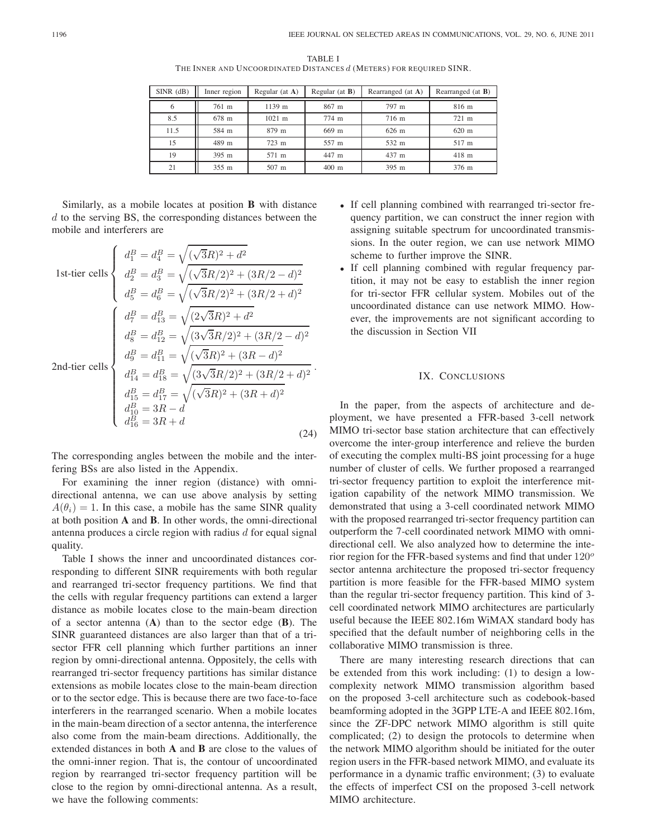TABLE I THE INNER AND UNCOORDINATED DISTANCES *d* (METERS) FOR REQUIRED SINR.

| $SINR$ (dB) | Inner region | Regular (at $A$ ) | Regular (at $B$ ) | Rearranged (at A) | Rearranged (at $B$ ) |
|-------------|--------------|-------------------|-------------------|-------------------|----------------------|
| 6           | 761 m        | 1139 m            | $867$ m           | 797 m             | 816 m                |
| 8.5         | 678 m        | $1021$ m          | 774 m             | 716 m             | 721 m                |
| 11.5        | 584 m        | 879 m             | $669$ m           | $626 \text{ m}$   | 620 m                |
| 15          | 489 m        | 723 m             | 557 m             | 532 m             | 517 m                |
| 19          | 395 m        | 571 m             | 447 m             | 437 m             | $418$ m              |
| 21          | 355 m        | 507 m             | $400$ m           | 395 m             | 376 m                |

.

Similarly, as a mobile locates at position **B** with distance  $d$  to the serving BS, the corresponding distances between the mobile and interferers are

1st-tier cells  $\sqrt{ }$  $\int$  $\overline{\mathcal{L}}$  $d_1^B = d_4^B =$  $\frac{1}{2}$  $\overline{a}$  $\sqrt{3}R)^{2} + d^{2}$  $d_2^B = d_3^B =$  $\frac{1}{2}$  $\overline{a}$  $\sqrt{3}R/2$ <sup>2</sup> +  $(3R/2 - d)^2$  $d_5^B = d_6^B =$  $\frac{1}{2}$  $\frac{1}{2}$  $\sqrt{3}R/2)^2 + (3R/2 + d)^2$ 2nd-tier cells  $\int d^B_7 = d^B_{13} =$  $<sub>1</sub>$ </sub>  $<sub>1</sub>$ </sub>  $\sqrt{(2\sqrt{3}R)^2 + d^2}$  $d_8^B = d_{12}^B =$  $\sqrt{(3\sqrt{3}R/2)^2 + (3R/2 - d)^2}$  $d_9^B = d_{11}^B =$  $\frac{1}{2}$ )<br>(  $\sqrt{3}R)^{2} + (3R - d)^{2}$  $d_{14}^B = d_{18}^B =$  $\sqrt{(3\sqrt{3}R/2)^2 + (3R/2 + d)^2}$  $d_{15}^B = d_{17}^B =$ <br>  $d_B^B = 2B$  $\frac{1}{2}$  $\overline{a}$  $d_{15}^B = d_{17}^B = \sqrt{(\sqrt{3}R)^2 + (3R + d)^2}$ <br>  $d_{10}^B = 3R - d$ <br>  $d_{16}^B = 3R + d$ (24)

The corresponding angles between the mobile and the interfering BSs are also listed in the Appendix.

For examining the inner region (distance) with omnidirectional antenna, we can use above analysis by setting  $A(\theta_i)=1$ . In this case, a mobile has the same SINR quality at both position **A** and **B**. In other words, the omni-directional antenna produces a circle region with radius  $d$  for equal signal quality.

Table I shows the inner and uncoordinated distances corresponding to different SINR requirements with both regular and rearranged tri-sector frequency partitions. We find that the cells with regular frequency partitions can extend a larger distance as mobile locates close to the main-beam direction of a sector antenna (**A**) than to the sector edge (**B**). The SINR guaranteed distances are also larger than that of a trisector FFR cell planning which further partitions an inner region by omni-directional antenna. Oppositely, the cells with rearranged tri-sector frequency partitions has similar distance extensions as mobile locates close to the main-beam direction or to the sector edge. This is because there are two face-to-face interferers in the rearranged scenario. When a mobile locates in the main-beam direction of a sector antenna, the interference also come from the main-beam directions. Additionally, the extended distances in both **A** and **B** are close to the values of the omni-inner region. That is, the contour of uncoordinated region by rearranged tri-sector frequency partition will be close to the region by omni-directional antenna. As a result, we have the following comments:

- If cell planning combined with rearranged tri-sector frequency partition, we can construct the inner region with assigning suitable spectrum for uncoordinated transmissions. In the outer region, we can use network MIMO scheme to further improve the SINR.
- If cell planning combined with regular frequency partition, it may not be easy to establish the inner region for tri-sector FFR cellular system. Mobiles out of the uncoordinated distance can use network MIMO. However, the improvements are not significant according to the discussion in Section VII

# IX. CONCLUSIONS

In the paper, from the aspects of architecture and deployment, we have presented a FFR-based 3-cell network MIMO tri-sector base station architecture that can effectively overcome the inter-group interference and relieve the burden of executing the complex multi-BS joint processing for a huge number of cluster of cells. We further proposed a rearranged tri-sector frequency partition to exploit the interference mitigation capability of the network MIMO transmission. We demonstrated that using a 3-cell coordinated network MIMO with the proposed rearranged tri-sector frequency partition can outperform the 7-cell coordinated network MIMO with omnidirectional cell. We also analyzed how to determine the interior region for the FFR-based systems and find that under 120*<sup>o</sup>* sector antenna architecture the proposed tri-sector frequency partition is more feasible for the FFR-based MIMO system than the regular tri-sector frequency partition. This kind of 3 cell coordinated network MIMO architectures are particularly useful because the IEEE 802.16m WiMAX standard body has specified that the default number of neighboring cells in the collaborative MIMO transmission is three.

There are many interesting research directions that can be extended from this work including: (1) to design a lowcomplexity network MIMO transmission algorithm based on the proposed 3-cell architecture such as codebook-based beamforming adopted in the 3GPP LTE-A and IEEE 802.16m, since the ZF-DPC network MIMO algorithm is still quite complicated; (2) to design the protocols to determine when the network MIMO algorithm should be initiated for the outer region users in the FFR-based network MIMO, and evaluate its performance in a dynamic traffic environment; (3) to evaluate the effects of imperfect CSI on the proposed 3-cell network MIMO architecture.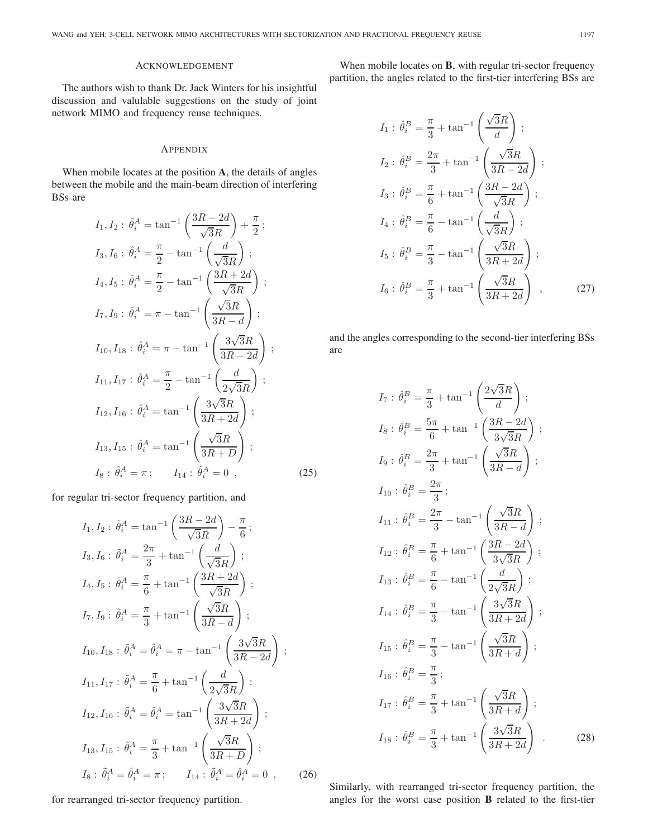## ACKNOWLEDGEMENT

The authors wish to thank Dr. Jack Winters for his insightful discussion and valulable suggestions on the study of joint network MIMO and frequency reuse techniques.

# APPENDIX

When mobile locates at the position **A**, the details of angles between the mobile and the main-beam direction of interfering BSs are

$$
I_{1}, I_{2}: \hat{\theta}_{i}^{A} = \tan^{-1}\left(\frac{3R - 2d}{\sqrt{3}R}\right) + \frac{\pi}{2};
$$
\n
$$
I_{3}, I_{6}: \hat{\theta}_{i}^{A} = \frac{\pi}{2} - \tan^{-1}\left(\frac{d}{\sqrt{3}R}\right);
$$
\n
$$
I_{4}, I_{5}: \hat{\theta}_{i}^{A} = \frac{\pi}{2} - \tan^{-1}\left(\frac{3R + 2d}{\sqrt{3}R}\right);
$$
\n
$$
I_{7}, I_{9}: \hat{\theta}_{i}^{A} = \pi - \tan^{-1}\left(\frac{\sqrt{3}R}{3R - d}\right);
$$
\n
$$
I_{10}, I_{18}: \hat{\theta}_{i}^{A} = \pi - \tan^{-1}\left(\frac{3\sqrt{3}R}{3R - 2d}\right);
$$
\n
$$
I_{11}, I_{17}: \hat{\theta}_{i}^{A} = \frac{\pi}{2} - \tan^{-1}\left(\frac{d}{2\sqrt{3}R}\right);
$$
\n
$$
I_{12}, I_{16}: \hat{\theta}_{i}^{A} = \tan^{-1}\left(\frac{3\sqrt{3}R}{3R + 2d}\right);
$$
\n
$$
I_{13}, I_{15}: \hat{\theta}_{i}^{A} = \tan^{-1}\left(\frac{\sqrt{3}R}{3R + D}\right);
$$
\n
$$
I_{8}: \hat{\theta}_{i}^{A} = \pi; \qquad I_{14}: \hat{\theta}_{i}^{A} = 0
$$
\n(25)

for regular tri-sector frequency partition, and

$$
I_{1}, I_{2}: \tilde{\theta}_{i}^{A} = \tan^{-1}\left(\frac{3R - 2d}{\sqrt{3}R}\right) - \frac{\pi}{6};
$$
  
\n
$$
I_{3}, I_{6}: \tilde{\theta}_{i}^{A} = \frac{2\pi}{3} + \tan^{-1}\left(\frac{d}{\sqrt{3}R}\right);
$$
  
\n
$$
I_{4}, I_{5}: \tilde{\theta}_{i}^{A} = \frac{\pi}{6} + \tan^{-1}\left(\frac{3R + 2d}{\sqrt{3}R}\right);
$$
  
\n
$$
I_{7}, I_{9}: \tilde{\theta}_{i}^{A} = \frac{\pi}{3} + \tan^{-1}\left(\frac{\sqrt{3}R}{3R - d}\right);
$$
  
\n
$$
I_{10}, I_{18}: \tilde{\theta}_{i}^{A} = \tilde{\theta}_{i}^{A} = \pi - \tan^{-1}\left(\frac{3\sqrt{3}R}{3R - 2d}\right);
$$
  
\n
$$
I_{11}, I_{17}: \tilde{\theta}_{i}^{A} = \frac{\pi}{6} + \tan^{-1}\left(\frac{d}{2\sqrt{3}R}\right);
$$
  
\n
$$
I_{12}, I_{16}: \tilde{\theta}_{i}^{A} = \tilde{\theta}_{i}^{A} = \tan^{-1}\left(\frac{3\sqrt{3}R}{3R + 2d}\right);
$$
  
\n
$$
I_{13}, I_{15}: \tilde{\theta}_{i}^{A} = \frac{\pi}{3} + \tan^{-1}\left(\frac{\sqrt{3}R}{3R + D}\right);
$$
  
\n
$$
I_{8}: \tilde{\theta}_{i}^{A} = \hat{\theta}_{i}^{A} = \pi; \qquad I_{14}: \tilde{\theta}_{i}^{A} = \hat{\theta}_{i}^{A} = 0
$$
 (26)

for rearranged tri-sector frequency partition.

When mobile locates on **B**, with regular tri-sector frequency partition, the angles related to the first-tier interfering BSs are

$$
I_1: \hat{\theta}_i^B = \frac{\pi}{3} + \tan^{-1}\left(\frac{\sqrt{3}R}{d}\right);
$$
  
\n
$$
I_2: \hat{\theta}_i^B = \frac{2\pi}{3} + \tan^{-1}\left(\frac{\sqrt{3}R}{3R - 2d}\right);
$$
  
\n
$$
I_3: \hat{\theta}_i^B = \frac{\pi}{6} + \tan^{-1}\left(\frac{3R - 2d}{\sqrt{3}R}\right);
$$
  
\n
$$
I_4: \hat{\theta}_i^B = \frac{\pi}{6} - \tan^{-1}\left(\frac{d}{\sqrt{3}R}\right);
$$
  
\n
$$
I_5: \hat{\theta}_i^B = \frac{\pi}{3} - \tan^{-1}\left(\frac{\sqrt{3}R}{3R + 2d}\right);
$$
  
\n
$$
I_6: \hat{\theta}_i^B = \frac{\pi}{3} + \tan^{-1}\left(\frac{\sqrt{3}R}{3R + 2d}\right),
$$
\n(27)

and the angles corresponding to the second-tier interfering BSs are

$$
I_7: \hat{\theta}_i^B = \frac{\pi}{3} + \tan^{-1}\left(\frac{2\sqrt{3}R}{d}\right);
$$
  
\n
$$
I_8: \hat{\theta}_i^B = \frac{5\pi}{6} + \tan^{-1}\left(\frac{3R - 2d}{3\sqrt{3}R}\right);
$$
  
\n
$$
I_9: \hat{\theta}_i^B = \frac{2\pi}{3} + \tan^{-1}\left(\frac{\sqrt{3}R}{3R - d}\right);
$$
  
\n
$$
I_{10}: \hat{\theta}_i^B = \frac{2\pi}{3};
$$
  
\n
$$
I_{11}: \hat{\theta}_i^B = \frac{2\pi}{3} - \tan^{-1}\left(\frac{\sqrt{3}R}{3R - d}\right);
$$
  
\n
$$
I_{12}: \hat{\theta}_i^B = \frac{\pi}{6} + \tan^{-1}\left(\frac{3R - 2d}{3\sqrt{3}R}\right);
$$
  
\n
$$
I_{13}: \hat{\theta}_i^B = \frac{\pi}{6} - \tan^{-1}\left(\frac{d}{2\sqrt{3}R}\right);
$$
  
\n
$$
I_{14}: \hat{\theta}_i^B = \frac{\pi}{3} - \tan^{-1}\left(\frac{3\sqrt{3}R}{3R + 2d}\right);
$$
  
\n
$$
I_{15}: \hat{\theta}_i^B = \frac{\pi}{3} - \tan^{-1}\left(\frac{\sqrt{3}R}{3R + d}\right);
$$
  
\n
$$
I_{16}: \hat{\theta}_i^B = \frac{\pi}{3};
$$
  
\n
$$
I_{17}: \hat{\theta}_i^B = \frac{\pi}{3} + \tan^{-1}\left(\frac{\sqrt{3}R}{3R + d}\right);
$$
  
\n
$$
I_{18}: \hat{\theta}_i^B = \frac{\pi}{3} + \tan^{-1}\left(\frac{3\sqrt{3}R}{3R + 2d}\right).
$$
  
\n(28)

Similarly, with rearranged tri-sector frequency partition, the angles for the worst case position **B** related to the first-tier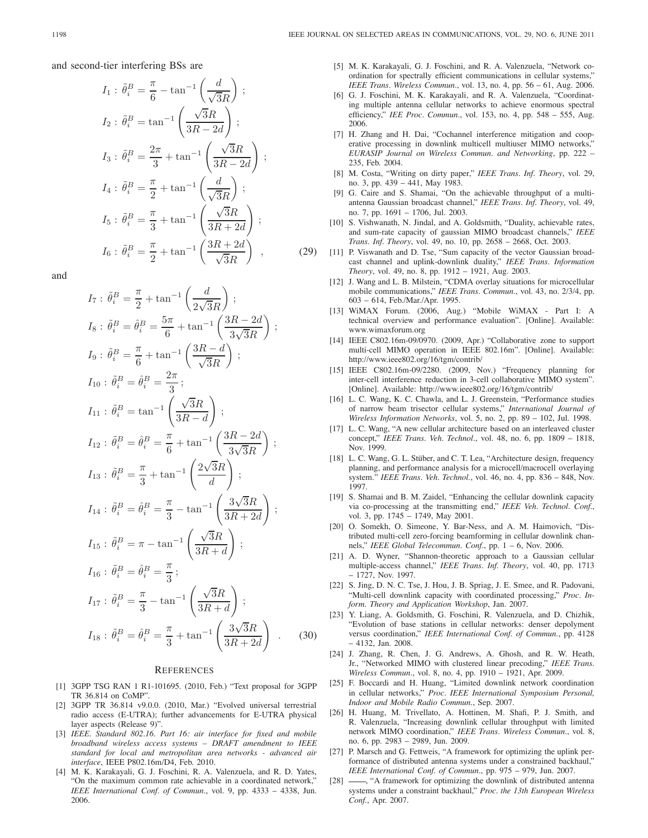$$
I_1: \tilde{\theta}_i^B = \frac{\pi}{6} - \tan^{-1}\left(\frac{d}{\sqrt{3}R}\right);
$$
  
\n
$$
I_2: \tilde{\theta}_i^B = \tan^{-1}\left(\frac{\sqrt{3}R}{3R - 2d}\right);
$$
  
\n
$$
I_3: \tilde{\theta}_i^B = \frac{2\pi}{3} + \tan^{-1}\left(\frac{\sqrt{3}R}{3R - 2d}\right);
$$
  
\n
$$
I_4: \tilde{\theta}_i^B = \frac{\pi}{2} + \tan^{-1}\left(\frac{d}{\sqrt{3}R}\right);
$$
  
\n
$$
I_5: \tilde{\theta}_i^B = \frac{\pi}{3} + \tan^{-1}\left(\frac{\sqrt{3}R}{3R + 2d}\right);
$$
  
\n
$$
I_6: \tilde{\theta}_i^B = \frac{\pi}{2} + \tan^{-1}\left(\frac{3R + 2d}{\sqrt{3}R}\right),
$$
\n(29)

and

$$
I_7: \tilde{\theta}_i^B = \frac{\pi}{2} + \tan^{-1}\left(\frac{d}{2\sqrt{3}R}\right);
$$
  
\n
$$
I_8: \tilde{\theta}_i^B = \hat{\theta}_i^B = \frac{5\pi}{6} + \tan^{-1}\left(\frac{3R - 2d}{3\sqrt{3}R}\right);
$$
  
\n
$$
I_9: \tilde{\theta}_i^B = \frac{\pi}{6} + \tan^{-1}\left(\frac{3R - d}{\sqrt{3}R}\right);
$$
  
\n
$$
I_{10}: \tilde{\theta}_i^B = \hat{\theta}_i^B = \frac{2\pi}{3};
$$
  
\n
$$
I_{11}: \tilde{\theta}_i^B = \tan^{-1}\left(\frac{\sqrt{3}R}{3R - d}\right);
$$
  
\n
$$
I_{12}: \tilde{\theta}_i^B = \hat{\theta}_i^B = \frac{\pi}{6} + \tan^{-1}\left(\frac{3R - 2d}{3\sqrt{3}R}\right);
$$
  
\n
$$
I_{13}: \tilde{\theta}_i^B = \frac{\pi}{3} + \tan^{-1}\left(\frac{2\sqrt{3}R}{d}\right);
$$
  
\n
$$
I_{14}: \tilde{\theta}_i^B = \hat{\theta}_i^B = \frac{\pi}{3} - \tan^{-1}\left(\frac{3\sqrt{3}R}{3R + 2d}\right);
$$
  
\n
$$
I_{15}: \tilde{\theta}_i^B = \pi - \tan^{-1}\left(\frac{\sqrt{3}R}{3R + d}\right);
$$
  
\n
$$
I_{16}: \tilde{\theta}_i^B = \hat{\theta}_i^B = \frac{\pi}{3};
$$
  
\n
$$
I_{17}: \tilde{\theta}_i^B = \frac{\pi}{3} - \tan^{-1}\left(\frac{\sqrt{3}R}{3R + d}\right);
$$
  
\n
$$
I_{18}: \tilde{\theta}_i^B = \hat{\theta}_i^B = \frac{\pi}{3} + \tan^{-1}\left(\frac{3\sqrt{3}R}{3R + 2d}\right).
$$
(30)

#### **REFERENCES**

- [1] 3GPP TSG RAN 1 R1-101695. (2010, Feb.) "Text proposal for 3GPP TR 36.814 on CoMP".
- [2] 3GPP TR 36.814 v9.0.0. (2010, Mar.) "Evolved universal terrestrial radio access (E-UTRA); further advancements for E-UTRA physical layer aspects (Release 9)".
- [3] *IEEE. Standard 802.16. Part 16: air interface for fixed and mobile broadband wireless access systems – DRAFT amendment to IEEE standard for local and metropolitan area networks - advanced air interface*, IEEE P802.16m/D4, Feb. 2010.
- [4] M. K. Karakayali, G. J. Foschini, R. A. Valenzuela, and R. D. Yates, "On the maximum common rate achievable in a coordinated network," *IEEE International Conf. of Commun.*, vol. 9, pp. 4333 – 4338, Jun. 2006.
- [5] M. K. Karakayali, G. J. Foschini, and R. A. Valenzuela, "Network coordination for spectrally efficient communications in cellular systems,' *IEEE Trans. Wireless Commun.*, vol. 13, no. 4, pp. 56 – 61, Aug. 2006.
- [6] G. J. Foschini, M. K. Karakayali, and R. A. Valenzuela, "Coordinating multiple antenna cellular networks to achieve enormous spectral efficiency," *IEE Proc. Commun.*, vol. 153, no. 4, pp. 548 – 555, Aug. 2006.
- [7] H. Zhang and H. Dai, "Cochannel interference mitigation and cooperative processing in downlink multicell multiuser MIMO networks,' *EURASIP Journal on Wireless Commun. and Networking*, pp. 222 – 235, Feb. 2004.
- [8] M. Costa, "Writing on dirty paper," *IEEE Trans. Inf. Theory*, vol. 29, no. 3, pp. 439 – 441, May 1983.
- [9] G. Caire and S. Shamai, "On the achievable throughput of a multiantenna Gaussian broadcast channel," *IEEE Trans. Inf. Theory*, vol. 49, no. 7, pp. 1691 – 1706, Jul. 2003.
- [10] S. Vishwanath, N. Jindal, and A. Goldsmith, "Duality, achievable rates, and sum-rate capacity of gaussian MIMO broadcast channels," *IEEE Trans. Inf. Theory*, vol. 49, no. 10, pp. 2658 – 2668, Oct. 2003.
- [11] P. Viswanath and D. Tse, "Sum capacity of the vector Gaussian broadcast channel and uplink-downlink duality," *IEEE Trans. Information Theory*, vol. 49, no. 8, pp. 1912 – 1921, Aug. 2003.
	- [12] J. Wang and L. B. Milstein, "CDMA overlay situations for microcellular mobile communications," *IEEE Trans. Commun.*, vol. 43, no. 2/3/4, pp. 603 – 614, Feb./Mar./Apr. 1995.
	- [13] WiMAX Forum. (2006, Aug.) "Mobile WiMAX Part I: A technical overview and performance evaluation". [Online]. Available: www.wimaxforum.org
	- [14] IEEE C802.16m-09/0970. (2009, Apr.) "Collaborative zone to support multi-cell MIMO operation in IEEE 802.16m". [Online]. Available: http://www.ieee802.org/16/tgm/contrib/
	- [15] IEEE C802.16m-09/2280. (2009, Nov.) "Frequency planning for inter-cell interference reduction in 3-cell collaborative MIMO system". [Online]. Available: http://www.ieee802.org/16/tgm/contrib/
	- [16] L. C. Wang, K. C. Chawla, and L. J. Greenstein, "Performance studies of narrow beam trisector cellular systems," *International Journal of Wireless Information Networks*, vol. 5, no. 2, pp. 89 – 102, Jul. 1998.
	- [17] L. C. Wang, "A new cellular architecture based on an interleaved cluster concept," *IEEE Trans. Veh. Technol.*, vol. 48, no. 6, pp. 1809 – 1818, Nov. 1999.
	- [18] L. C. Wang, G. L. Stüber, and C. T. Lea, "Architecture design, frequency planning, and performance analysis for a microcell/macrocell overlaying system." *IEEE Trans. Veh. Technol.*, vol. 46, no. 4, pp. 836 – 848, Nov. 1997.
	- [19] S. Shamai and B. M. Zaidel, "Enhancing the cellular downlink capacity via co-processing at the transmitting end," *IEEE Veh. Technol. Conf.*, vol. 3, pp. 1745 – 1749, May 2001.
	- [20] O. Somekh, O. Simeone, Y. Bar-Ness, and A. M. Haimovich, "Distributed multi-cell zero-forcing beamforming in cellular downlink channels," *IEEE Global Telecommun. Conf.*, pp. 1 – 6, Nov. 2006.
	- [21] A. D. Wyner, "Shannon-theoretic approach to a Gaussian cellular multiple-access channel," *IEEE Trans. Inf. Theory*, vol. 40, pp. 1713 – 1727, Nov. 1997.
	- [22] S. Jing, D. N. C. Tse, J. Hou, J. B. Spriag, J. E. Smee, and R. Padovani, "Multi-cell downlink capacity with coordinated processing," *Proc. Inform. Theory and Application Workshop*, Jan. 2007.
	- [23] Y. Liang, A. Goldsmith, G. Foschini, R. Valenzuela, and D. Chizhik, "Evolution of base stations in cellular networks: denser depolyment versus coordination," *IEEE International Conf. of Commun.*, pp. 4128 – 4132, Jan. 2008.
	- [24] J. Zhang, R. Chen, J. G. Andrews, A. Ghosh, and R. W. Heath, Jr., "Networked MIMO with clustered linear precoding," *IEEE Trans. Wireless Commun.*, vol. 8, no. 4, pp. 1910 – 1921, Apr. 2009.
	- [25] F. Boccardi and H. Huang, "Limited downlink network coordination in cellular networks," *Proc. IEEE International Symposium Personal, Indoor and Mobile Radio Commun.*, Sep. 2007.
	- [26] H. Huang, M. Trivellato, A. Hottinen, M. Shafi, P. J. Smith, and R. Valenzuela, "Increasing downlink cellular throughput with limited network MIMO coordination," *IEEE Trans. Wireless Commun.*, vol. 8, no. 6, pp. 2983 – 2989, Jun. 2009.
	- [27] P. Marsch and G. Fettweis, "A framework for optimizing the uplink performance of distributed antenna systems under a constrained backhaul," *IEEE International Conf. of Commun.*, pp. 975 – 979, Jun. 2007.
	- -, "A framework for optimizing the downlink of distributed antenna systems under a constraint backhaul," *Proc. the 13th European Wireless Conf.*, Apr. 2007.